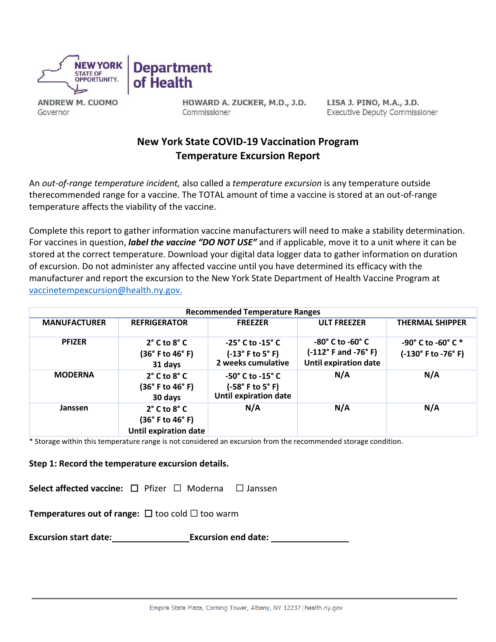



**ANDREW M. CUOMO** Governor

HOWARD A. ZUCKER, M.D., J.D. Commissioner

LISA J. PINO, M.A., J.D. **Executive Deputy Commissioner** 

# **New York State COVID-19 Vaccination Program Temperature Excursion Report**

An *out-of-range temperature incident,* also called a *temperature excursion* is any temperature outside therecommended range for a vaccine. The TOTAL amount of time a vaccine is stored at an out-of-range temperature affects the viability of the vaccine.

Complete this report to gather information vaccine manufacturers will need to make a stability determination. For vaccines in question, *label the vaccine "DO NOT USE"* and if applicable, move it to a unit where it can be stored at the correct temperature. Download your digital data logger data to gather information on duration of excursion. Do not administer any affected vaccine until you have determined its efficacy with the manufacturer and report the excursion to the New York State Department of Health Vaccine Program at [vaccinetempexcursion@health.ny.gov.](mailto:vaccinetempexcursion@health.ny.gov)

| <b>Recommended Temperature Ranges</b> |                                                                                      |                                                                                                       |                                                                                             |                                                                        |  |  |
|---------------------------------------|--------------------------------------------------------------------------------------|-------------------------------------------------------------------------------------------------------|---------------------------------------------------------------------------------------------|------------------------------------------------------------------------|--|--|
| <b>MANUFACTURER</b>                   | <b>REFRIGERATOR</b>                                                                  | <b>FREEZER</b>                                                                                        | <b>ULT FREEZER</b>                                                                          | <b>THERMAL SHIPPER</b>                                                 |  |  |
| <b>PFIZER</b>                         | $2^{\circ}$ C to $8^{\circ}$ C<br>(36° F to 46° F)<br>31 days                        | $-25^\circ$ C to $-15^\circ$ C<br>$(-13^\circ \text{ F to } 5^\circ \text{ F})$<br>2 weeks cumulative | -80° C to -60° C<br>$(-112^{\circ}$ F and -76 $^{\circ}$ F)<br><b>Until expiration date</b> | $-90^{\circ}$ C to $-60^{\circ}$ C $*$<br>$(-130^{\circ}$ F to -76° F) |  |  |
| <b>MODERNA</b>                        | $2^{\circ}$ C to $8^{\circ}$ C<br>$(36°$ F to 46° F)<br>30 days                      | $-50^\circ$ C to $-15^\circ$ C<br>(-58°F to 5°F)<br><b>Until expiration date</b>                      | N/A                                                                                         | N/A                                                                    |  |  |
| Janssen                               | $2^{\circ}$ C to $8^{\circ}$ C<br>$(36°$ F to 46° F)<br><b>Until expiration date</b> | N/A                                                                                                   | N/A                                                                                         | N/A                                                                    |  |  |

\* Storage within this temperature range is not considered an excursion from the recommended storage condition.

# **Step 1: Record the temperature excursion details.**

**Select affected vaccine:** ☐ Pfizer ☐ Moderna ☐ Janssen

**Temperatures out of range:** ☐too cold ☐ too warm

**Excursion start date: Excursion end date:**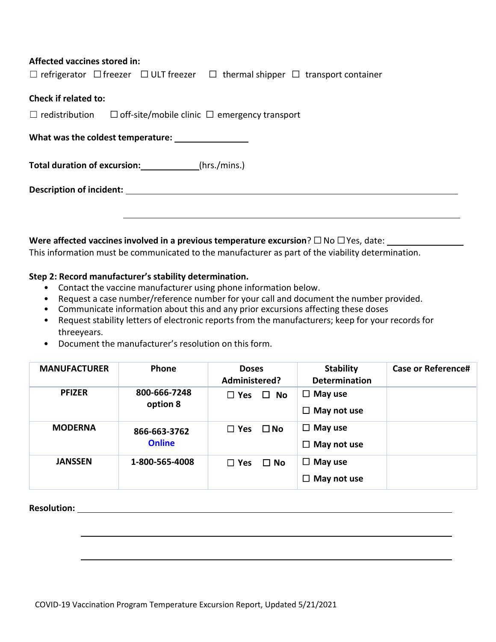#### **Affected vaccines stored in:**

|                                                                                | $\Box$ refrigerator $\Box$ freezer $\Box$ ULT freezer $\Box$ thermal shipper $\Box$ transport container |
|--------------------------------------------------------------------------------|---------------------------------------------------------------------------------------------------------|
| <b>Check if related to:</b>                                                    |                                                                                                         |
| $\Box$ redistribution $\Box$ off-site/mobile clinic $\Box$ emergency transport |                                                                                                         |
| What was the coldest temperature:                                              |                                                                                                         |
| Total duration of excursion: ____________(hrs./mins.)                          |                                                                                                         |
|                                                                                |                                                                                                         |
|                                                                                |                                                                                                         |
|                                                                                |                                                                                                         |

**Were affected vaccines involved in a previous temperature excursion**? ☐ No ☐ Yes, date: This information must be communicated to the manufacturer as part of the viability determination.

#### **Step 2: Record manufacturer's stability determination.**

- Contact the vaccine manufacturer using phone information below.
- Request a case number/reference number for your call and document the number provided.
- Communicate information about this and any prior excursions affecting these doses
- Request stability letters of electronic reports from the manufacturers; keep for your records for threeyears.
- Document the manufacturer's resolution on this form.

| <b>MANUFACTURER</b> | Phone                         | <b>Doses</b><br>Administered? | <b>Stability</b><br><b>Determination</b> | <b>Case or Reference#</b> |
|---------------------|-------------------------------|-------------------------------|------------------------------------------|---------------------------|
| <b>PFIZER</b>       | 800-666-7248<br>option 8      | $\Box$ Yes<br>$\square$ No    | $\Box$ May use<br>May not use<br>$\Box$  |                           |
| <b>MODERNA</b>      | 866-663-3762<br><b>Online</b> | $\square$ No<br>$\Box$ Yes    | $\Box$ May use<br>May not use<br>$\Box$  |                           |
| <b>JANSSEN</b>      | 1-800-565-4008                | $\Box$ No<br>$\Box$ Yes       | $\Box$ May use<br>May not use<br>⊔       |                           |

**Resolution:**